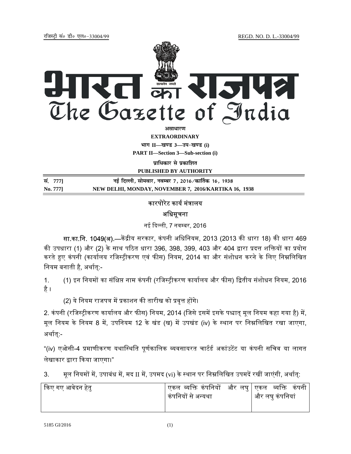jftLVªh laö Mhö ,yö&33004@99 REGD. NO. D. L.-33004/99



*<u>animalist</u>* 

**EXTRAORDINARY**

 $4$ **HI**<sup>T</sup> II—<br> **Edges** 3—34-खण्ड (i)

**PART II—Section 3—Sub-section (i)** 

**पाधिकार से प्रकाशित** 

**PUBLISHED BY AUTHORITY**

<u>la</u> - **1771** 2016/2016 10: संस्कृति करने हो समय पर 1, 2016/कार्तिक 16, 1938 संस्कृति के प्रशासक पर 1938 संस्कृति **No. 777] NEW DELHI, MONDAY, NOVEMBER 7, 2016/KARTIKA 16, 1938**

# कारपोरेट कार्य मंत्रालय अधिसूचना

नई दिल्ली, 7 नवम्बर, 2016

**सा.का.नि. 1049(अ).—**केंद्रीय सरकार, कंपनी अधिनियम, 2013 (2013 की धारा 18) की धारा 469 की उपधारा (1) और (2) के साथ पठित धारा 396, 398, 399, 403 और 404 द्वारा प्रदत्त शक्तियों का प्रयोग करते हुए कंपनी (कार्यालय रजिस्ट्रीकरण एवं फीस) नियम, 2014 का और संशोधन करने के लिए निम्नलिखित नियम बनाती है, अर्थात्:-

1. (1) इन नियमों का संक्षिप्त नाम कंपनी (रजिस्ट्रीकरण कार्यालय और फीस) द्वितीय संशोधन नियम, 2016 है ।

(2) ये नियम राजपत्र में प्रकाशन की तारीख को प्रवृत्त होंगे।

2. कंपनी (रजिस्ट्रीकरण कार्यालय और फीस) नियम, 2014 (जिसे इसमें इसके पश्चात् मूल नियम कहा गया है) में, मूल नियम के नियम 8 में, उपनियम 12 के खंड (ख) में उपखंड (iv) के स्थान पर निम्नलिखित रखा जाएगा, अर्थात:-

"(iv) एओसी-4 प्रमाणीकरण यथास्थिति पूर्णकालिक व्यवसायरत चार्टर्ड अकांउटेंट या कंपनी सचिव या लागत लेखाकार द्वारा किया जाएगा।"

3. मूल नियमों में, उपाबंध में, मद II में, उपमद (vi) के स्थान पर निम्नलिखित उपमदें रखीं जाएंगी, अर्थात्:

| किए गए आवेदन हेतु | एकल व्यक्ति कंपनियों  और लघु $\mid$ एकल  व्यक्ति  कंपनी<br>कंपनियों से अन्यथा | और लघु कंपनियां |
|-------------------|-------------------------------------------------------------------------------|-----------------|
|-------------------|-------------------------------------------------------------------------------|-----------------|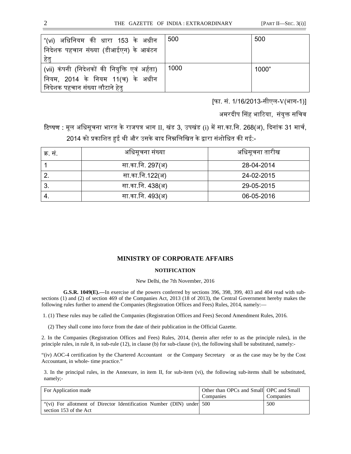| "(vi) अधिनियम की धारा 153 के अधीन<br>निदेशक पहचान संख्या (डीआईएन) के आबंटन<br>हेत् | 500  | 500   |
|------------------------------------------------------------------------------------|------|-------|
| (vii) कंपनी (निदेशकों की नियुक्ति एवं अर्हता)                                      | 1000 | 1000" |
| नियम, 2014 के नियम 11(च) के अधीन<br>निदेशक पहचान संख्या लौटाने हेतु                |      |       |

[फा. सं. 1/16/2013-सीएल-V(भाग-1)]

अमरदीप सिंह भाटिया, संयुक्त सचिव

टिप्पण : मूल अधिसूचना भारत के राजपत्र भाग II, खंड 3, उपखंड (i) में सा.का.नि. 268(अ), दिनांक 31 मार्च, 2014 को प्रकाशित हुई थी और उसके बाद निम्नलिखित के द्वारा संशोधित की गई:-

| क्र. सं. | अधिसूचना संख्या  | अधिसूचना तारीख |
|----------|------------------|----------------|
|          | सा.का.नि. 297(अ) | 28-04-2014     |
|          | सा.का.नि.122(अ)  | 24-02-2015     |
|          | सा.का.नि. 438(अ) | 29-05-2015     |
|          | सा.का.नि. 493(अ) | 06-05-2016     |

## **MINISTRY OF CORPORATE AFFAIRS**

#### **NOTIFICATION**

#### New Delhi, the 7th November, 2016

**G.S.R. 1049(E).—**In exercise of the powers conferred by sections 396, 398, 399, 403 and 404 read with subsections (1) and (2) of section 469 of the Companies Act, 2013 (18 of 2013), the Central Government hereby makes the following rules further to amend the Companies (Registration Offices and Fees) Rules, 2014, namely:—

1. (1) These rules may be called the Companies (Registration Offices and Fees) Second Amendment Rules, 2016.

(2) They shall come into force from the date of their publication in the Official Gazette.

2. In the Companies (Registration Offices and Fees) Rules, 2014, (herein after refer to as the principle rules), in the principle rules, in rule 8, in sub-rule (12), in clause (b) for sub-clause (iv), the following shall be substituted, namely:-

"(iv) AOC-4 certification by the Chartered Accountant or the Company Secretary or as the case may be by the Cost Accountant, in whole- time practice."

3. In the principal rules, in the Annexure, in item II, for sub-item (vi), the following sub-items shall be substituted, namely;-

| For Application made                                                  | Other than OPCs and Small OPC and Small |           |
|-----------------------------------------------------------------------|-----------------------------------------|-----------|
|                                                                       | Companies                               | Companies |
| "(vi) For allotment of Director Identification Number (DIN) under 500 |                                         | 500       |
| section 153 of the Act                                                |                                         |           |